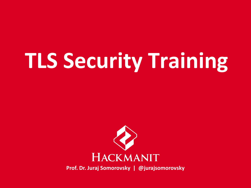# **[TLS Security Training](https://www.hackmanit.de/de/schulungen/9-ssl-tls-sicherheit-2-tage)**

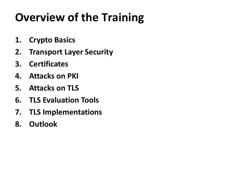# **Overview of the Training**

- **1. Crypto Basics**
- **2. Transport Layer Security**
- **3. Certificates**
- **4. Attacks on PKI**
- **5. Attacks on TLS**
- **6. TLS Evaluation Tools**
- **7. TLS Implementations**
- **8. Outlook**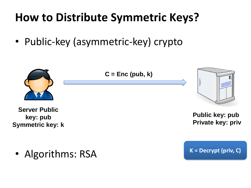# **How to Distribute Symmetric Keys?**

• Public-key (asymmetric-key) crypto

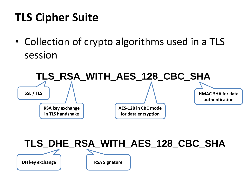# **TLS Cipher Suite**

• Collection of crypto algorithms used in a TLS session



#### **TLS\_DHE\_RSA\_WITH\_AES\_128\_CBC\_SHA**

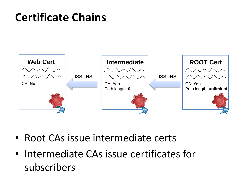### **Certificate Chains**



- Root CAs issue intermediate certs
- Intermediate CAs issue certificates for subscribers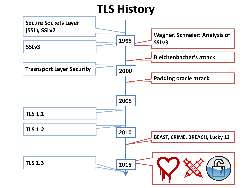#### **TLS History**

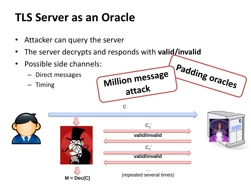# **TLS Server as an Oracle**

- Attacker can query the server
- The server decrypts and responds with **valid/invalid**
- Possible side channels:
	- Direct messages
	- Timing





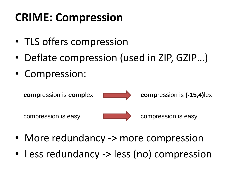# **CRIME: Compression**

- TLS offers compression
- Deflate compression (used in ZIP, GZIP...)
- Compression:



- More redundancy -> more compression
- Less redundancy -> less (no) compression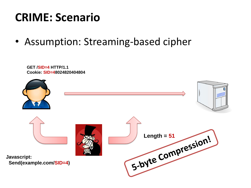#### **CRIME: Scenario**

• Assumption: Streaming-based cipher

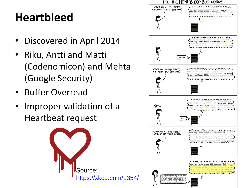# **Heartbleed**

- Discovered in April 2014
- Riku, Antti and Matti (Codenomicon) and Mehta (Google Security)
- Buffer Overread
- Improper validation of a Heartbeat request



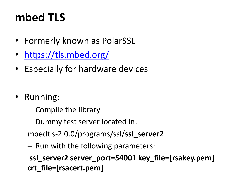# **mbed TLS**

- Formerly known as PolarSSL
- <https://tls.mbed.org/>
- Especially for hardware devices
- Running:
	- Compile the library
	- Dummy test server located in:

mbedtls-2.0.0/programs/ssl/**ssl\_server2**

– Run with the following parameters:

**ssl\_server2 server\_port=54001 key\_file=[rsakey.pem] crt\_file=[rsacert.pem]**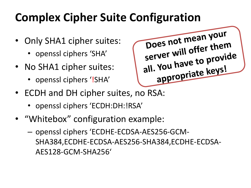# **Complex Cipher Suite Configuration**

- Only SHA1 cipher suites:
	- openssl ciphers 'SHA'
- No SHA1 cipher suites:
	- openssl ciphers '!SHA'



- ECDH and DH cipher suites, no RSA:
	- openssl ciphers 'ECDH:DH:!RSA'
- "Whitebox" configuration example:
	- openssl ciphers 'ECDHE-ECDSA-AES256-GCM-SHA384,ECDHE-ECDSA-AES256-SHA384,ECDHE-ECDSA-AES128-GCM-SHA256'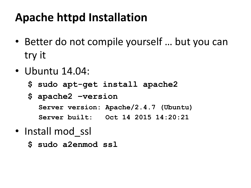# **Apache httpd Installation**

- Better do not compile yourself … but you can try it
- Ubuntu 14.04:
	- **\$ sudo apt-get install apache2**
	- **\$ apache2 –version Server version: Apache/2.4.7 (Ubuntu) Server built: Oct 14 2015 14:20:21**
- Install mod ssl
	- **\$ sudo a2enmod ssl**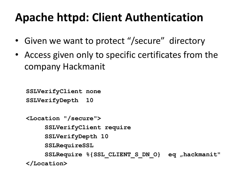### **Apache httpd: Client Authentication**

- Given we want to protect "/secure" directory
- Access given only to specific certificates from the company Hackmanit

```
SSLVerifyClient none
SSLVerifyDepth 10
<Location "/secure">
     SSLVerifyClient require
     SSLVerifyDepth 10
     SSLRequireSSL
     SSLRequire %{SSL_CLIENT_S_DN_O} eq "hackmanit"
</Location>
```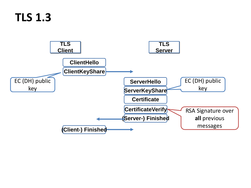#### **TLS 1.3**